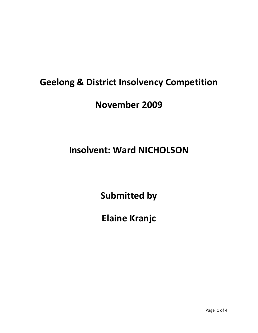## **Geelong & District Insolvency Competition**

### **November 2009**

# **Insolvent: Ward NICHOLSON**

**Submitted by**

**Elaine Kranjc**

Page 1 of 4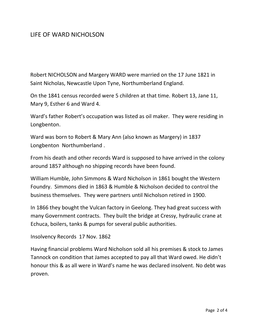#### LIFE OF WARD NICHOLSON

Robert NICHOLSON and Margery WARD were married on the 17 June 1821 in Saint Nicholas, Newcastle Upon Tyne, Northumberland England.

On the 1841 census recorded were 5 children at that time. Robert 13, Jane 11, Mary 9, Esther 6 and Ward 4.

Ward's father Robert's occupation was listed as oil maker. They were residing in Longbenton.

Ward was born to Robert & Mary Ann (also known as Margery) in 1837 Longbenton Northumberland .

From his death and other records Ward is supposed to have arrived in the colony around 1857 although no shipping records have been found.

William Humble, John Simmons & Ward Nicholson in 1861 bought the Western Foundry. Simmons died in 1863 & Humble & Nicholson decided to control the business themselves. They were partners until Nicholson retired in 1900.

In 1866 they bought the Vulcan factory in Geelong. They had great success with many Government contracts. They built the bridge at Cressy, hydraulic crane at Echuca, boilers, tanks & pumps for several public authorities.

Insolvency Records 17 Nov. 1862

Having financial problems Ward Nicholson sold all his premises & stock to James Tannock on condition that James accepted to pay all that Ward owed. He didn't honour this & as all were in Ward's name he was declared insolvent. No debt was proven.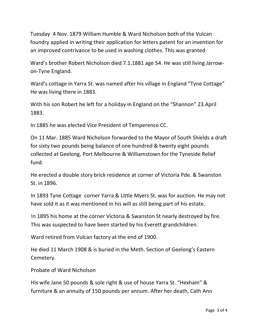Tuesday 4 Nov. 1879 William Humble & Ward Nicholson both of the Vulcan foundry applied in writing their application for letters patent for an invention for an improved contrivance to be used in washing clothes. This was granted.

Ward's brother Robert Nicholson died 7.1.1881 age 54. He was still living Jarrow‐ on‐Tyne England.

Ward's cottage in Yarra St. was named after his village in England "Tyne Cottage" He was living there in 1883.

With his son Robert he left for a holiday in England on the "Shannon" 23.April 1883.

In 1885 he was elected Vice President of Temperence CC.

On 11 Mar. 1885 Ward Nicholson forwarded to the Mayor of South Shields a draft for sixty two pounds being balance of one hundred & twenty eight pounds collected at Geelong, Port Melbourne & Williamstown for the Tyneside Relief fund.

He erected a double story brick residence at corner of Victoria Pde. & Swanston St. in 1896.

In 1893 Tyne Cottage corner Yarra & Little Myers St. was for auction. He may not have sold it as it was mentioned in his will as still being part of his estate.

!n 1895 his home at the corner Victoria & Swanston St nearly destroyed by fire. This was suspected to have been started by his Everett grandchildren.

Ward retired from Vulcan factory at the end of 1900.

He died 11 March 1908 & is buried in the Meth. Section of Geelong's Eastern Cemetery.

Probate of Ward Nicholson

His wife Jane 50 pounds & sole right & use of house Yarra St. "Hexham" & furniture & an annuity of 150 pounds per annum. After her death, Cath Ann